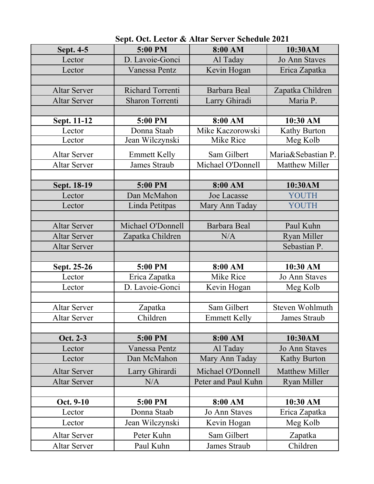| Sept. 4-5           | 5:00 PM                 | 8:00 AM              | 10:30AM                         |
|---------------------|-------------------------|----------------------|---------------------------------|
| Lector              | D. Lavoie-Gonci         | Al Taday             | <b>Jo Ann Staves</b>            |
| Lector              | Vanessa Pentz           | Kevin Hogan          | Erica Zapatka                   |
|                     |                         |                      |                                 |
| <b>Altar Server</b> | <b>Richard Torrenti</b> | Barbara Beal         | Zapatka Children                |
| <b>Altar Server</b> | <b>Sharon Torrenti</b>  | Larry Ghiradi        | Maria P.                        |
|                     |                         |                      |                                 |
| Sept. 11-12         | 5:00 PM                 | 8:00 AM              | 10:30 AM                        |
| Lector              | Donna Staab             | Mike Kaczorowski     | Kathy Burton                    |
| Lector              | Jean Wilczynski         | <b>Mike Rice</b>     | Meg Kolb                        |
| <b>Altar Server</b> | <b>Emmett Kelly</b>     | Sam Gilbert          | Maria&Sebastian P.              |
| <b>Altar Server</b> | <b>James Straub</b>     | Michael O'Donnell    | <b>Matthew Miller</b>           |
|                     |                         |                      |                                 |
| Sept. 18-19         | 5:00 PM                 | 8:00 AM              | 10:30AM                         |
| Lector              | Dan McMahon             | <b>Joe Lacasse</b>   | <b>YOUTH</b>                    |
| Lector              | Linda Petitpas          | Mary Ann Taday       | YOUTH                           |
|                     |                         |                      |                                 |
| <b>Altar Server</b> | Michael O'Donnell       | Barbara Beal         | Paul Kuhn                       |
| <b>Altar Server</b> | Zapatka Children        | N/A                  | <b>Ryan Miller</b>              |
| <b>Altar Server</b> |                         |                      | Sebastian P.                    |
|                     |                         |                      |                                 |
| Sept. 25-26         | 5:00 PM                 | 8:00 AM              | 10:30 AM                        |
| Lector              | Erica Zapatka           | Mike Rice            | <b>Jo Ann Staves</b>            |
| Lector              | D. Lavoie-Gonci         | Kevin Hogan          | Meg Kolb                        |
|                     |                         |                      |                                 |
| <b>Altar Server</b> | Zapatka<br>Children     | Sam Gilbert          | Steven Wohlmuth<br>James Straub |
| Altar Server        |                         | <b>Emmett Kelly</b>  |                                 |
| Oct. 2-3            | 5:00 PM                 | 8:00 AM              | 10:30AM                         |
| Lector              | <b>Vanessa Pentz</b>    | Al Taday             | <b>Jo Ann Staves</b>            |
| Lector              | Dan McMahon             | Mary Ann Taday       | <b>Kathy Burton</b>             |
| <b>Altar Server</b> | Larry Ghirardi          | Michael O'Donnell    | <b>Matthew Miller</b>           |
| <b>Altar Server</b> | N/A                     | Peter and Paul Kuhn  | <b>Ryan Miller</b>              |
|                     |                         |                      |                                 |
| Oct. 9-10           | 5:00 PM                 | 8:00 AM              | 10:30 AM                        |
| Lector              | Donna Staab             | <b>Jo Ann Staves</b> | Erica Zapatka                   |
| Lector              | Jean Wilczynski         | Kevin Hogan          | Meg Kolb                        |
| <b>Altar Server</b> | Peter Kuhn              | Sam Gilbert          | Zapatka                         |
| <b>Altar Server</b> | Paul Kuhn               | James Straub         | Children                        |

 **Sept. Oct. Lector & Altar Server Schedule 2021**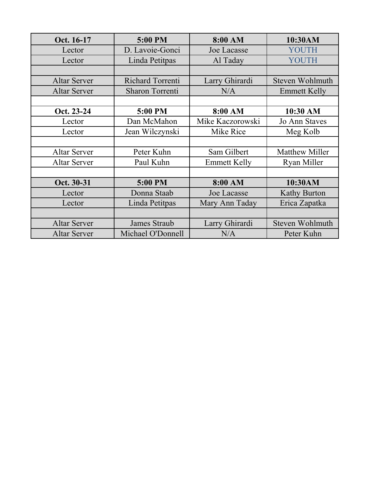| Oct. 16-17          | 5:00 PM                | 8:00 AM             | 10:30AM               |
|---------------------|------------------------|---------------------|-----------------------|
| Lector              | D. Lavoie-Gonci        | Joe Lacasse         | <b>YOUTH</b>          |
| Lector              | Linda Petitpas         | Al Taday            | YOUTH                 |
|                     |                        |                     |                       |
| <b>Altar Server</b> | Richard Torrenti       | Larry Ghirardi      | Steven Wohlmuth       |
| <b>Altar Server</b> | <b>Sharon Torrenti</b> | N/A                 | <b>Emmett Kelly</b>   |
|                     |                        |                     |                       |
| Oct. 23-24          | 5:00 PM                | 8:00 AM             | 10:30 AM              |
| Lector              | Dan McMahon            | Mike Kaczorowski    | <b>Jo Ann Staves</b>  |
| Lector              | Jean Wilczynski        | Mike Rice           | Meg Kolb              |
|                     |                        |                     |                       |
| <b>Altar Server</b> | Peter Kuhn             | Sam Gilbert         | <b>Matthew Miller</b> |
| <b>Altar Server</b> | Paul Kuhn              | <b>Emmett Kelly</b> | <b>Ryan Miller</b>    |
|                     |                        |                     |                       |
| Oct. 30-31          | 5:00 PM                | 8:00 AM             | 10:30AM               |
| Lector              | Donna Staab            | Joe Lacasse         | <b>Kathy Burton</b>   |
| Lector              | Linda Petitpas         | Mary Ann Taday      | Erica Zapatka         |
|                     |                        |                     |                       |
| <b>Altar Server</b> | James Straub           | Larry Ghirardi      | Steven Wohlmuth       |
| <b>Altar Server</b> | Michael O'Donnell      | N/A                 | Peter Kuhn            |